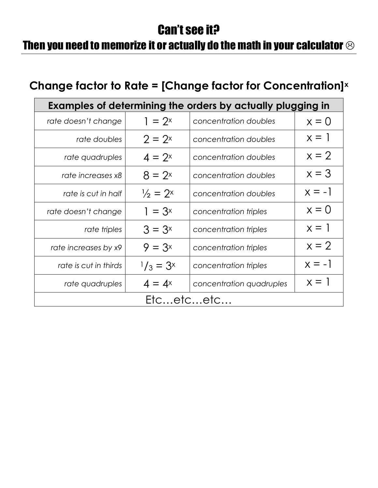## Can't see it?

## Then you need to memorize it or actually do the math in your calculator  $\odot$

## **Change factor to Rate = [Change factor for Concentration]<sup>x</sup>**

| Examples of determining the orders by actually plugging in |                     |                          |          |  |
|------------------------------------------------------------|---------------------|--------------------------|----------|--|
| rate doesn't change                                        | $= 2^x$             | concentration doubles    | $x = 0$  |  |
| rate doubles                                               | $2 = 2^x$           | concentration doubles    | $x = 1$  |  |
| rate quadruples                                            | $4 = 2^x$           | concentration doubles    | $x = 2$  |  |
| rate increases x8                                          | $8 = 2^x$           | concentration doubles    | $x = 3$  |  |
| rate is cut in half                                        | $\frac{1}{2}$ = 2x  | concentration doubles    | $x = -1$ |  |
| rate doesn't change                                        | $1 = 3^x$           | concentration triples    | $x = 0$  |  |
| rate triples                                               | $3 = 3^x$           | concentration triples    | $x = 1$  |  |
| rate increases by x9                                       | $9 = 3^x$           | concentration triples    | $x = 2$  |  |
| rate is cut in thirds                                      | $\frac{1}{3} = 3^x$ | concentration triples    | $x = -1$ |  |
| rate quadruples                                            | $4 = 4^x$           | concentration quadruples | $x = 1$  |  |
| Etcetcetc                                                  |                     |                          |          |  |